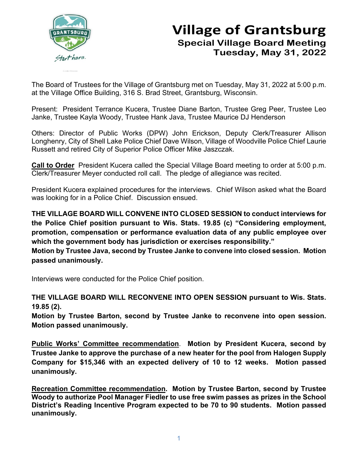

## **Village of Grantsburg Special Village Board Meeting Tuesday, May 31, 2022**

The Board of Trustees for the Village of Grantsburg met on Tuesday, May 31, 2022 at 5:00 p.m. at the Village Office Building, 316 S. Brad Street, Grantsburg, Wisconsin.

Present: President Terrance Kucera, Trustee Diane Barton, Trustee Greg Peer, Trustee Leo Janke, Trustee Kayla Woody, Trustee Hank Java, Trustee Maurice DJ Henderson

Others: Director of Public Works (DPW) John Erickson, Deputy Clerk/Treasurer Allison Longhenry, City of Shell Lake Police Chief Dave Wilson, Village of Woodville Police Chief Laurie Russett and retired City of Superior Police Officer Mike Jaszczak.

**Call to Order** President Kucera called the Special Village Board meeting to order at 5:00 p.m. Clerk/Treasurer Meyer conducted roll call. The pledge of allegiance was recited.

President Kucera explained procedures for the interviews. Chief Wilson asked what the Board was looking for in a Police Chief. Discussion ensued.

**THE VILLAGE BOARD WILL CONVENE INTO CLOSED SESSION to conduct interviews for the Police Chief position pursuant to Wis. Stats. 19.85 (c) "Considering employment, promotion, compensation or performance evaluation data of any public employee over which the government body has jurisdiction or exercises responsibility."** 

**Motion by Trustee Java, second by Trustee Janke to convene into closed session. Motion passed unanimously.**

Interviews were conducted for the Police Chief position.

**THE VILLAGE BOARD WILL RECONVENE INTO OPEN SESSION pursuant to Wis. Stats. 19.85 (2).** 

**Motion by Trustee Barton, second by Trustee Janke to reconvene into open session. Motion passed unanimously.**

**Public Works' Committee recommendation**. **Motion by President Kucera, second by Trustee Janke to approve the purchase of a new heater for the pool from Halogen Supply Company for \$15,346 with an expected delivery of 10 to 12 weeks. Motion passed unanimously.**

**Recreation Committee recommendation. Motion by Trustee Barton, second by Trustee Woody to authorize Pool Manager Fiedler to use free swim passes as prizes in the School District's Reading Incentive Program expected to be 70 to 90 students. Motion passed unanimously.**